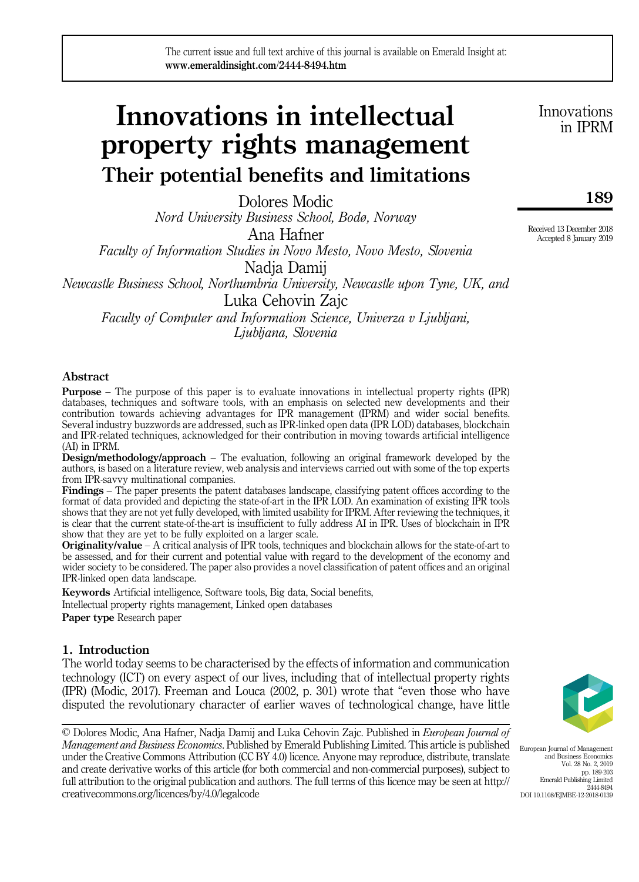# Innovations in intellectual property rights management Their potential benefits and limitations

Dolores Modic Nord University Business School, Bodø, Norway Ana Hafner Faculty of Information Studies in Novo Mesto, Novo Mesto, Slovenia Nadja Damij Newcastle Business School, Northumbria University, Newcastle upon Tyne, UK, and Luka Cehovin Zajc Faculty of Computer and Information Science, Univerza v Ljubljani,

Ljubljana, Slovenia

## Abstract

Purpose – The purpose of this paper is to evaluate innovations in intellectual property rights (IPR) databases, techniques and software tools, with an emphasis on selected new developments and their contribution towards achieving advantages for IPR management (IPRM) and wider social benefits. Several industry buzzwords are addressed, such as IPR-linked open data (IPR LOD) databases, blockchain and IPR-related techniques, acknowledged for their contribution in moving towards artificial intelligence (AI) in IPRM.

Design/methodology/approach – The evaluation, following an original framework developed by the authors, is based on a literature review, web analysis and interviews carried out with some of the top experts from IPR-savvy multinational companies.

Findings – The paper presents the patent databases landscape, classifying patent offices according to the format of data provided and depicting the state-of-art in the IPR LOD. An examination of existing IPR tools shows that they are not yet fully developed, with limited usability for IPRM. After reviewing the techniques, it is clear that the current state-of-the-art is insufficient to fully address AI in IPR. Uses of blockchain in IPR show that they are yet to be fully exploited on a larger scale.

Originality/value – A critical analysis of IPR tools, techniques and blockchain allows for the state-of-art to be assessed, and for their current and potential value with regard to the development of the economy and wider society to be considered. The paper also provides a novel classification of patent offices and an original IPR-linked open data landscape.

Keywords Artificial intelligence, Software tools, Big data, Social benefits,

Intellectual property rights management, Linked open databases

Paper type Research paper

## 1. Introduction

The world today seems to be characterised by the effects of information and communication technology (ICT) on every aspect of our lives, including that of intellectual property rights (IPR) (Modic, 2017). Freeman and Louca (2002, p. 301) wrote that "even those who have disputed the revolutionary character of earlier waves of technological change, have little

© Dolores Modic, Ana Hafner, Nadja Damij and Luka Cehovin Zajc. Published in European Journal of Management and Business Economics. Published by Emerald Publishing Limited. This article is published under the Creative Commons Attribution (CC BY 4.0) licence. Anyone may reproduce, distribute, translate and create derivative works of this article (for both commercial and non-commercial purposes), subject to full attribution to the original publication and authors. The full terms of this licence may be seen at [http://](http://creativecommons.org/licences/by/4.0/legalcode) [creativecommons.org/licences/by/4.0/legalcode](http://creativecommons.org/licences/by/4.0/legalcode)

European Journal of Management and Business Economics Vol. 28 No. 2, 2019 pp. 189-203 Emerald Publishing Limited 2444-8494 DOI 10.1108/EIMBE-12-2018-0139

Innovations in IPRM

189

Received 13 December 2018 Accepted 8 January 2019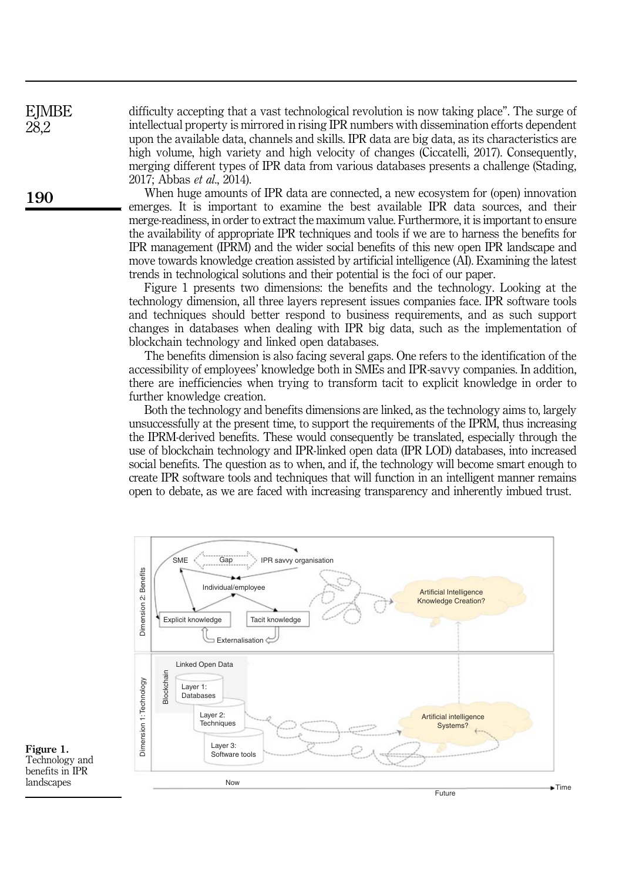difficulty accepting that a vast technological revolution is now taking place". The surge of intellectual property is mirrored in rising IPR numbers with dissemination efforts dependent upon the available data, channels and skills. IPR data are big data, as its characteristics are high volume, high variety and high velocity of changes (Ciccatelli, 2017). Consequently, merging different types of IPR data from various databases presents a challenge (Stading, 2017; Abbas et al., 2014).

When huge amounts of IPR data are connected, a new ecosystem for (open) innovation emerges. It is important to examine the best available IPR data sources, and their merge-readiness, in order to extract the maximum value. Furthermore, it is important to ensure the availability of appropriate IPR techniques and tools if we are to harness the benefits for IPR management (IPRM) and the wider social benefits of this new open IPR landscape and move towards knowledge creation assisted by artificial intelligence (AI). Examining the latest trends in technological solutions and their potential is the foci of our paper.

Figure 1 presents two dimensions: the benefits and the technology. Looking at the technology dimension, all three layers represent issues companies face. IPR software tools and techniques should better respond to business requirements, and as such support changes in databases when dealing with IPR big data, such as the implementation of blockchain technology and linked open databases.

The benefits dimension is also facing several gaps. One refers to the identification of the accessibility of employees' knowledge both in SMEs and IPR-savvy companies. In addition, there are inefficiencies when trying to transform tacit to explicit knowledge in order to further knowledge creation.

Both the technology and benefits dimensions are linked, as the technology aims to, largely unsuccessfully at the present time, to support the requirements of the IPRM, thus increasing the IPRM-derived benefits. These would consequently be translated, especially through the use of blockchain technology and IPR-linked open data (IPR LOD) databases, into increased social benefits. The question as to when, and if, the technology will become smart enough to create IPR software tools and techniques that will function in an intelligent manner remains open to debate, as we are faced with increasing transparency and inherently imbued trust.



Figure 1. Technology and benefits in IPR landscapes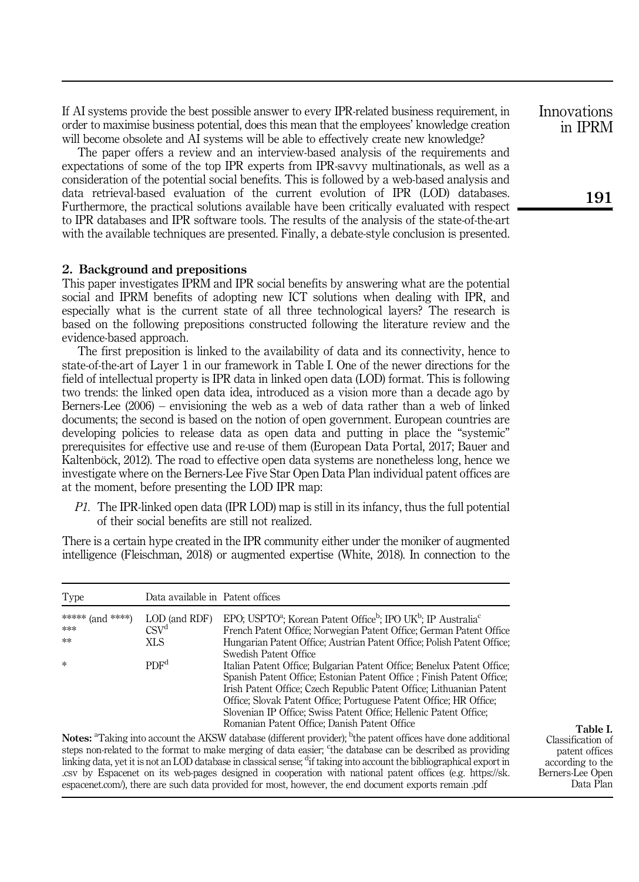If AI systems provide the best possible answer to every IPR-related business requirement, in order to maximise business potential, does this mean that the employees' knowledge creation will become obsolete and AI systems will be able to effectively create new knowledge?

The paper offers a review and an interview-based analysis of the requirements and expectations of some of the top IPR experts from IPR-savvy multinationals, as well as a consideration of the potential social benefits. This is followed by a web-based analysis and data retrieval-based evaluation of the current evolution of IPR (LOD) databases. Furthermore, the practical solutions available have been critically evaluated with respect to IPR databases and IPR software tools. The results of the analysis of the state-of-the-art with the available techniques are presented. Finally, a debate-style conclusion is presented.

#### 2. Background and prepositions

This paper investigates IPRM and IPR social benefits by answering what are the potential social and IPRM benefits of adopting new ICT solutions when dealing with IPR, and especially what is the current state of all three technological layers? The research is based on the following prepositions constructed following the literature review and the evidence-based approach.

The first preposition is linked to the availability of data and its connectivity, hence to state-of-the-art of Layer 1 in our framework in Table I. One of the newer directions for the field of intellectual property is IPR data in linked open data (LOD) format. This is following two trends: the linked open data idea, introduced as a vision more than a decade ago by Berners-Lee (2006) – envisioning the web as a web of data rather than a web of linked documents; the second is based on the notion of open government. European countries are developing policies to release data as open data and putting in place the "systemic" prerequisites for effective use and re-use of them (European Data Portal, 2017; Bauer and Kaltenböck, 2012). The road to effective open data systems are nonetheless long, hence we investigate where on the Berners-Lee Five Star Open Data Plan individual patent offices are at the moment, before presenting the LOD IPR map:

 $P1$ . The IPR-linked open data (IPR LOD) map is still in its infancy, thus the full potential of their social benefits are still not realized.

There is a certain hype created in the IPR community either under the moniker of augmented intelligence (Fleischman, 2018) or augmented expertise (White, 2018). In connection to the

| Type             | Data available in Patent offices |                                                                                                                                                                                                                                                                                                                                                                                                                    |
|------------------|----------------------------------|--------------------------------------------------------------------------------------------------------------------------------------------------------------------------------------------------------------------------------------------------------------------------------------------------------------------------------------------------------------------------------------------------------------------|
| ***** (and ****) | LOD (and RDF)                    | EPO; USPTO <sup>2</sup> ; Korean Patent Office <sup>b</sup> ; IPO UK <sup>b</sup> ; IP Australia <sup>c</sup>                                                                                                                                                                                                                                                                                                      |
| ***              | CSV <sup>d</sup>                 | French Patent Office; Norwegian Patent Office; German Patent Office                                                                                                                                                                                                                                                                                                                                                |
| **               | XLS                              | Hungarian Patent Office: Austrian Patent Office: Polish Patent Office:<br>Swedish Patent Office                                                                                                                                                                                                                                                                                                                    |
| $\ast$           | PDF <sup>d</sup>                 | Italian Patent Office; Bulgarian Patent Office; Benelux Patent Office;<br>Spanish Patent Office: Estonian Patent Office ; Finish Patent Office;<br>Irish Patent Office: Czech Republic Patent Office: Lithuanian Patent<br>Office: Slovak Patent Office: Portuguese Patent Office: HR Office:<br>Slovenian IP Office; Swiss Patent Office; Hellenic Patent Office;<br>Romanian Patent Office; Danish Patent Office |
|                  |                                  | <b>Notes:</b> <sup>a</sup> Taking into account the AKSW database (different provider); <sup>b</sup> the patent offices have done additional                                                                                                                                                                                                                                                                        |

steps non-related to the format to make merging of data easier; 'the database can be described as providing linking data, yet it is not an LOD database in classical sense; <sup>d</sup>if taking into account the bibliographical export in .csv by Espacenet on its web-pages designed in cooperation with national patent offices (e.g. [https://sk.](http://firstmonday.org/article/view/548/469) [espacenet.com/\)](http://firstmonday.org/article/view/548/469), there are such data provided for most, however, the end document exports remain .pdf

Table I. Classification of patent offices according to the Berners-Lee Open Data Plan

Innovations in IPRM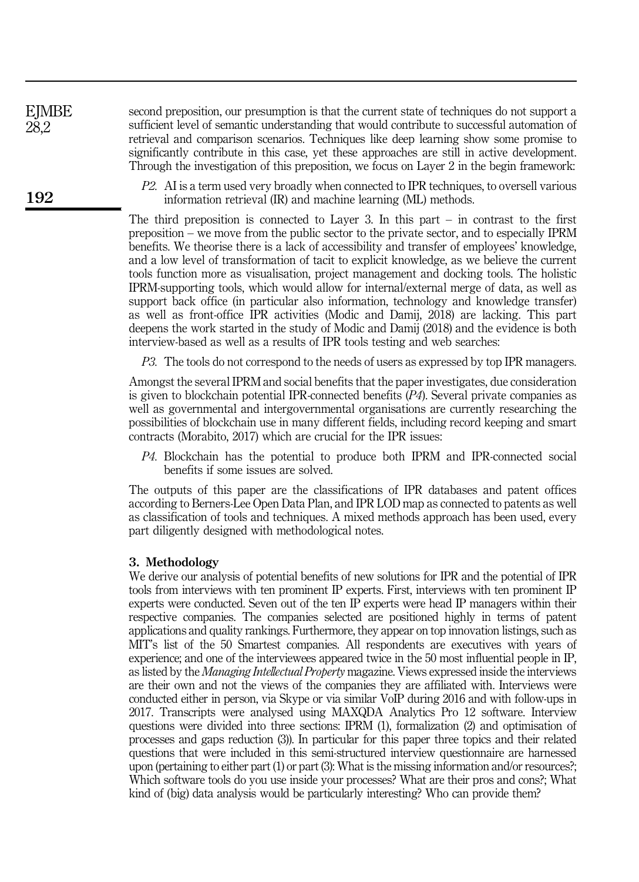second preposition, our presumption is that the current state of techniques do not support a sufficient level of semantic understanding that would contribute to successful automation of retrieval and comparison scenarios. Techniques like deep learning show some promise to significantly contribute in this case, yet these approaches are still in active development. Through the investigation of this preposition, we focus on Layer 2 in the begin framework:

P2. AI is a term used very broadly when connected to IPR techniques, to oversell various information retrieval (IR) and machine learning (ML) methods.

The third preposition is connected to Layer 3. In this part  $-$  in contrast to the first preposition – we move from the public sector to the private sector, and to especially IPRM benefits. We theorise there is a lack of accessibility and transfer of employees' knowledge, and a low level of transformation of tacit to explicit knowledge, as we believe the current tools function more as visualisation, project management and docking tools. The holistic IPRM-supporting tools, which would allow for internal/external merge of data, as well as support back office (in particular also information, technology and knowledge transfer) as well as front-office IPR activities (Modic and Damij, 2018) are lacking. This part deepens the work started in the study of Modic and Damij (2018) and the evidence is both interview-based as well as a results of IPR tools testing and web searches:

P3. The tools do not correspond to the needs of users as expressed by top IPR managers.

Amongst the several IPRM and social benefits that the paper investigates, due consideration is given to blockchain potential IPR-connected benefits (P4). Several private companies as well as governmental and intergovernmental organisations are currently researching the possibilities of blockchain use in many different fields, including record keeping and smart contracts (Morabito, 2017) which are crucial for the IPR issues:

P4. Blockchain has the potential to produce both IPRM and IPR-connected social benefits if some issues are solved.

The outputs of this paper are the classifications of IPR databases and patent offices according to Berners-Lee Open Data Plan, and IPR LOD map as connected to patents as well as classification of tools and techniques. A mixed methods approach has been used, every part diligently designed with methodological notes.

## 3. Methodology

We derive our analysis of potential benefits of new solutions for IPR and the potential of IPR tools from interviews with ten prominent IP experts. First, interviews with ten prominent IP experts were conducted. Seven out of the ten IP experts were head IP managers within their respective companies. The companies selected are positioned highly in terms of patent applications and quality rankings. Furthermore, they appear on top innovation listings, such as MIT's list of the 50 Smartest companies. All respondents are executives with years of experience; and one of the interviewees appeared twice in the 50 most influential people in IP, as listed by the *Managing Intellectual Property* magazine. Views expressed inside the interviews are their own and not the views of the companies they are affiliated with. Interviews were conducted either in person, via Skype or via similar VoIP during 2016 and with follow-ups in 2017. Transcripts were analysed using MAXQDA Analytics Pro 12 software. Interview questions were divided into three sections: IPRM (1), formalization (2) and optimisation of processes and gaps reduction (3)). In particular for this paper three topics and their related questions that were included in this semi-structured interview questionnaire are harnessed upon (pertaining to either part (1) or part (3): What is the missing information and/or resources?; Which software tools do you use inside your processes? What are their pros and cons?; What kind of (big) data analysis would be particularly interesting? Who can provide them?

192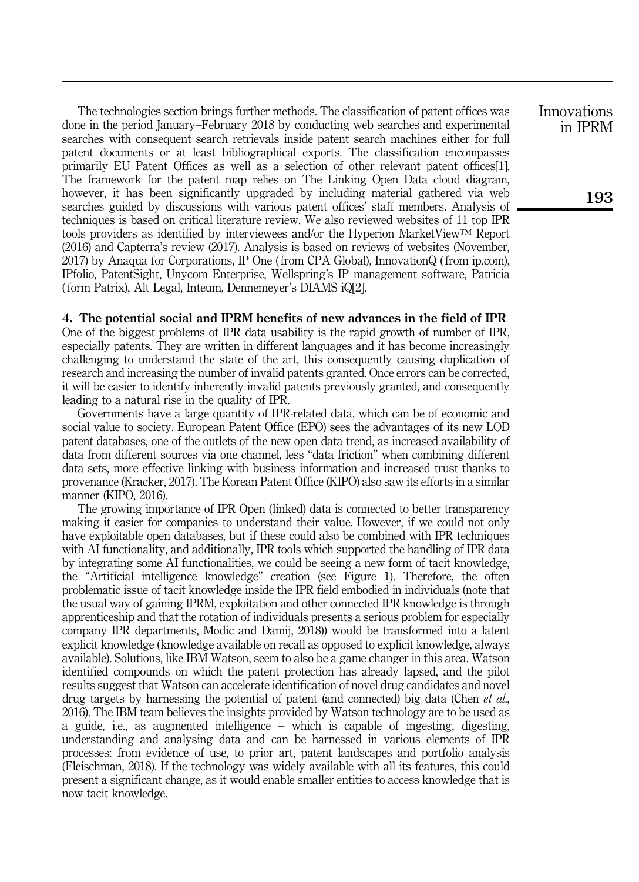The technologies section brings further methods. The classification of patent offices was done in the period January–February 2018 by conducting web searches and experimental searches with consequent search retrievals inside patent search machines either for full patent documents or at least bibliographical exports. The classification encompasses primarily EU Patent Offices as well as a selection of other relevant patent offices[1]. The framework for the patent map relies on The Linking Open Data cloud diagram, however, it has been significantly upgraded by including material gathered via web searches guided by discussions with various patent offices' staff members. Analysis of techniques is based on critical literature review. We also reviewed websites of 11 top IPR tools providers as identified by interviewees and/or the Hyperion MarketView™ Report (2016) and Capterra's review (2017). Analysis is based on reviews of websites (November, 2017) by Anaqua for Corporations, IP One ( from CPA Global), InnovationQ ( from ip.com), IPfolio, PatentSight, Unycom Enterprise, Wellspring's IP management software, Patricia ( form Patrix), Alt Legal, Inteum, Dennemeyer's DIAMS iQ[2].

## 4. The potential social and IPRM benefits of new advances in the field of IPR

One of the biggest problems of IPR data usability is the rapid growth of number of IPR, especially patents. They are written in different languages and it has become increasingly challenging to understand the state of the art, this consequently causing duplication of research and increasing the number of invalid patents granted. Once errors can be corrected, it will be easier to identify inherently invalid patents previously granted, and consequently leading to a natural rise in the quality of IPR.

Governments have a large quantity of IPR-related data, which can be of economic and social value to society. European Patent Office (EPO) sees the advantages of its new LOD patent databases, one of the outlets of the new open data trend, as increased availability of data from different sources via one channel, less "data friction" when combining different data sets, more effective linking with business information and increased trust thanks to provenance (Kracker, 2017). The Korean Patent Office (KIPO) also saw its efforts in a similar manner (KIPO, 2016).

The growing importance of IPR Open (linked) data is connected to better transparency making it easier for companies to understand their value. However, if we could not only have exploitable open databases, but if these could also be combined with IPR techniques with AI functionality, and additionally, IPR tools which supported the handling of IPR data by integrating some AI functionalities, we could be seeing a new form of tacit knowledge, the "Artificial intelligence knowledge" creation (see Figure 1). Therefore, the often problematic issue of tacit knowledge inside the IPR field embodied in individuals (note that the usual way of gaining IPRM, exploitation and other connected IPR knowledge is through apprenticeship and that the rotation of individuals presents a serious problem for especially company IPR departments, Modic and Damij, 2018)) would be transformed into a latent explicit knowledge (knowledge available on recall as opposed to explicit knowledge, always available). Solutions, like IBM Watson, seem to also be a game changer in this area. Watson identified compounds on which the patent protection has already lapsed, and the pilot results suggest that Watson can accelerate identification of novel drug candidates and novel drug targets by harnessing the potential of patent (and connected) big data (Chen *et al.*, 2016). The IBM team believes the insights provided by Watson technology are to be used as a guide, i.e., as augmented intelligence – which is capable of ingesting, digesting, understanding and analysing data and can be harnessed in various elements of IPR processes: from evidence of use, to prior art, patent landscapes and portfolio analysis (Fleischman, 2018). If the technology was widely available with all its features, this could present a significant change, as it would enable smaller entities to access knowledge that is now tacit knowledge.

Innovations in IPRM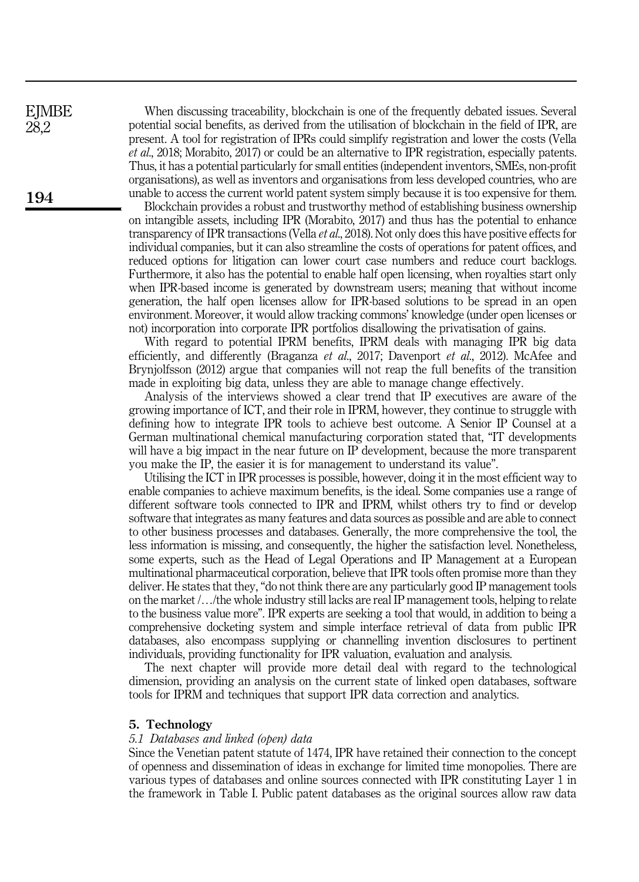When discussing traceability, blockchain is one of the frequently debated issues. Several potential social benefits, as derived from the utilisation of blockchain in the field of IPR, are present. A tool for registration of IPRs could simplify registration and lower the costs (Vella et al., 2018; Morabito, 2017) or could be an alternative to IPR registration, especially patents. Thus, it has a potential particularly for small entities (independent inventors, SMEs, non-profit organisations), as well as inventors and organisations from less developed countries, who are unable to access the current world patent system simply because it is too expensive for them.

Blockchain provides a robust and trustworthy method of establishing business ownership on intangible assets, including IPR (Morabito, 2017) and thus has the potential to enhance transparency of IPR transactions (Vella et al., 2018). Not only does this have positive effects for individual companies, but it can also streamline the costs of operations for patent offices, and reduced options for litigation can lower court case numbers and reduce court backlogs. Furthermore, it also has the potential to enable half open licensing, when royalties start only when IPR-based income is generated by downstream users; meaning that without income generation, the half open licenses allow for IPR-based solutions to be spread in an open environment. Moreover, it would allow tracking commons' knowledge (under open licenses or not) incorporation into corporate IPR portfolios disallowing the privatisation of gains.

With regard to potential IPRM benefits, IPRM deals with managing IPR big data efficiently, and differently (Braganza et al., 2017; Davenport et al., 2012). McAfee and Brynjolfsson (2012) argue that companies will not reap the full benefits of the transition made in exploiting big data, unless they are able to manage change effectively.

Analysis of the interviews showed a clear trend that IP executives are aware of the growing importance of ICT, and their role in IPRM, however, they continue to struggle with defining how to integrate IPR tools to achieve best outcome. A Senior IP Counsel at a German multinational chemical manufacturing corporation stated that, "IT developments will have a big impact in the near future on IP development, because the more transparent you make the IP, the easier it is for management to understand its value".

Utilising the ICT in IPR processes is possible, however, doing it in the most efficient way to enable companies to achieve maximum benefits, is the ideal. Some companies use a range of different software tools connected to IPR and IPRM, whilst others try to find or develop software that integrates as many features and data sources as possible and are able to connect to other business processes and databases. Generally, the more comprehensive the tool, the less information is missing, and consequently, the higher the satisfaction level. Nonetheless, some experts, such as the Head of Legal Operations and IP Management at a European multinational pharmaceutical corporation, believe that IPR tools often promise more than they deliver. He states that they, "do not think there are any particularly good IP management tools on the market /…/the whole industry still lacks are real IP management tools, helping to relate to the business value more". IPR experts are seeking a tool that would, in addition to being a comprehensive docketing system and simple interface retrieval of data from public IPR databases, also encompass supplying or channelling invention disclosures to pertinent individuals, providing functionality for IPR valuation, evaluation and analysis.

The next chapter will provide more detail deal with regard to the technological dimension, providing an analysis on the current state of linked open databases, software tools for IPRM and techniques that support IPR data correction and analytics.

#### 5. Technology

#### 5.1 Databases and linked (open) data

Since the Venetian patent statute of 1474, IPR have retained their connection to the concept of openness and dissemination of ideas in exchange for limited time monopolies. There are various types of databases and online sources connected with IPR constituting Layer 1 in the framework in Table I. Public patent databases as the original sources allow raw data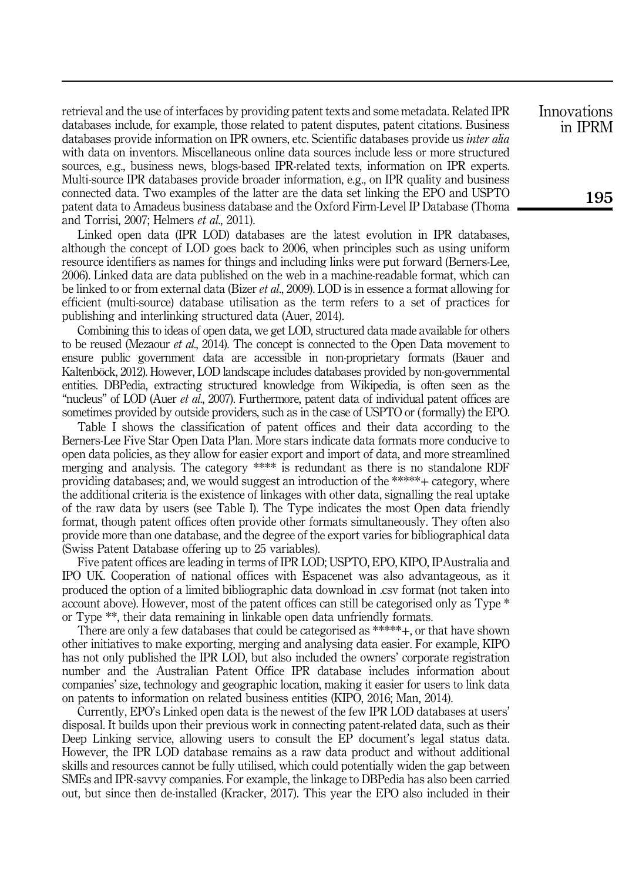retrieval and the use of interfaces by providing patent texts and some metadata. Related IPR databases include, for example, those related to patent disputes, patent citations. Business databases provide information on IPR owners, etc. Scientific databases provide us *inter alia* with data on inventors. Miscellaneous online data sources include less or more structured sources, e.g., business news, blogs-based IPR-related texts, information on IPR experts. Multi-source IPR databases provide broader information, e.g., on IPR quality and business connected data. Two examples of the latter are the data set linking the EPO and USPTO patent data to Amadeus business database and the Oxford Firm-Level IP Database (Thoma and Torrisi, 2007; Helmers et al., 2011).

Linked open data (IPR LOD) databases are the latest evolution in IPR databases, although the concept of LOD goes back to 2006, when principles such as using uniform resource identifiers as names for things and including links were put forward (Berners-Lee, 2006). Linked data are data published on the web in a machine-readable format, which can be linked to or from external data (Bizer *et al.*, 2009). LOD is in essence a format allowing for efficient (multi-source) database utilisation as the term refers to a set of practices for publishing and interlinking structured data (Auer, 2014).

Combining this to ideas of open data, we get LOD, structured data made available for others to be reused (Mezaour *et al.*, 2014). The concept is connected to the Open Data movement to ensure public government data are accessible in non-proprietary formats (Bauer and Kaltenböck, 2012). However, LOD landscape includes databases provided by non-governmental entities. DBPedia, extracting structured knowledge from Wikipedia, is often seen as the "nucleus" of LOD (Auer *et al.*, 2007). Furthermore, patent data of individual patent offices are sometimes provided by outside providers, such as in the case of USPTO or ( formally) the EPO.

Table I shows the classification of patent offices and their data according to the Berners-Lee Five Star Open Data Plan. More stars indicate data formats more conducive to open data policies, as they allow for easier export and import of data, and more streamlined merging and analysis. The category \*\*\*\* is redundant as there is no standalone RDF providing databases; and, we would suggest an introduction of the \*\*\*\*\*+ category, where the additional criteria is the existence of linkages with other data, signalling the real uptake of the raw data by users (see Table I). The Type indicates the most Open data friendly format, though patent offices often provide other formats simultaneously. They often also provide more than one database, and the degree of the export varies for bibliographical data (Swiss Patent Database offering up to 25 variables).

Five patent offices are leading in terms of IPR LOD; USPTO, EPO, KIPO, IPAustralia and IPO UK. Cooperation of national offices with Espacenet was also advantageous, as it produced the option of a limited bibliographic data download in .csv format (not taken into account above). However, most of the patent offices can still be categorised only as Type \* or Type \*\*, their data remaining in linkable open data unfriendly formats.

There are only a few databases that could be categorised as \*\*\*\*\*+, or that have shown other initiatives to make exporting, merging and analysing data easier. For example, KIPO has not only published the IPR LOD, but also included the owners' corporate registration number and the Australian Patent Office IPR database includes information about companies' size, technology and geographic location, making it easier for users to link data on patents to information on related business entities (KIPO, 2016; Man, 2014).

Currently, EPO's Linked open data is the newest of the few IPR LOD databases at users' disposal. It builds upon their previous work in connecting patent-related data, such as their Deep Linking service, allowing users to consult the EP document's legal status data. However, the IPR LOD database remains as a raw data product and without additional skills and resources cannot be fully utilised, which could potentially widen the gap between SMEs and IPR-savvy companies. For example, the linkage to DBPedia has also been carried out, but since then de-installed (Kracker, 2017). This year the EPO also included in their Innovations in IPRM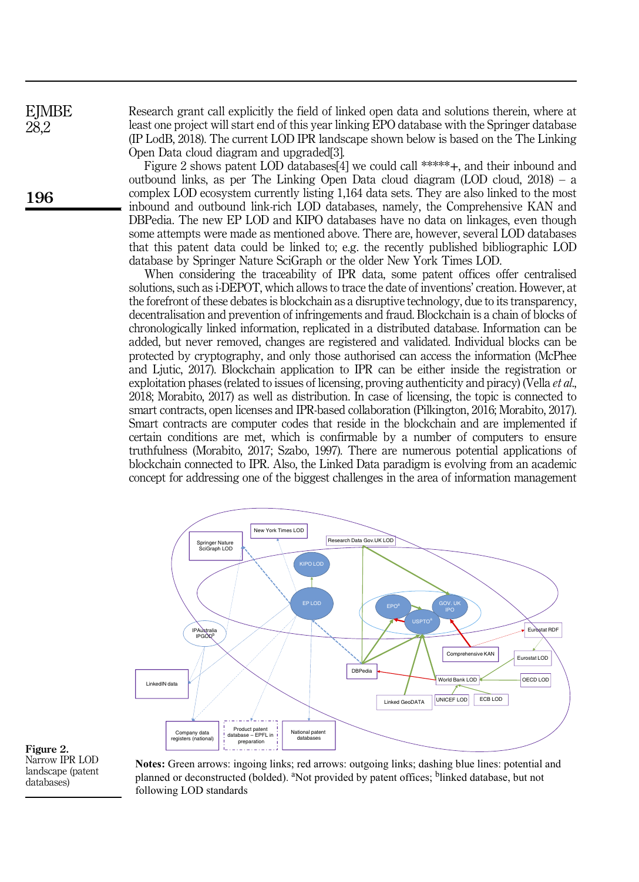Research grant call explicitly the field of linked open data and solutions therein, where at least one project will start end of this year linking EPO database with the Springer database (IP LodB, 2018). The current LOD IPR landscape shown below is based on the The Linking Open Data cloud diagram and upgraded[3].

Figure 2 shows patent LOD databases[4] we could call \*\*\*\*\*+, and their inbound and outbound links, as per The Linking Open Data cloud diagram (LOD cloud, 2018) – a complex LOD ecosystem currently listing 1,164 data sets. They are also linked to the most inbound and outbound link-rich LOD databases, namely, the Comprehensive KAN and DBPedia. The new EP LOD and KIPO databases have no data on linkages, even though some attempts were made as mentioned above. There are, however, several LOD databases that this patent data could be linked to; e.g. the recently published bibliographic LOD database by Springer Nature SciGraph or the older New York Times LOD.

When considering the traceability of IPR data, some patent offices offer centralised solutions, such as i-DEPOT, which allows to trace the date of inventions' creation. However, at the forefront of these debates is blockchain as a disruptive technology, due to its transparency, decentralisation and prevention of infringements and fraud. Blockchain is a chain of blocks of chronologically linked information, replicated in a distributed database. Information can be added, but never removed, changes are registered and validated. Individual blocks can be protected by cryptography, and only those authorised can access the information (McPhee and Ljutic, 2017). Blockchain application to IPR can be either inside the registration or exploitation phases (related to issues of licensing, proving authenticity and piracy) (Vella et al., 2018; Morabito, 2017) as well as distribution. In case of licensing, the topic is connected to smart contracts, open licenses and IPR-based collaboration (Pilkington, 2016; Morabito, 2017). Smart contracts are computer codes that reside in the blockchain and are implemented if certain conditions are met, which is confirmable by a number of computers to ensure truthfulness (Morabito, 2017; Szabo, 1997). There are numerous potential applications of blockchain connected to IPR. Also, the Linked Data paradigm is evolving from an academic concept for addressing one of the biggest challenges in the area of information management



Figure 2. Narrow IPR LOD landscape (patent databases)

**Notes:** Green arrows: ingoing links; red arrows: outgoing links; dashing blue lines: potential and planned or deconstructed (bolded). <sup>a</sup>Not provided by patent offices; <sup>b</sup>linked database, but not following LOD standards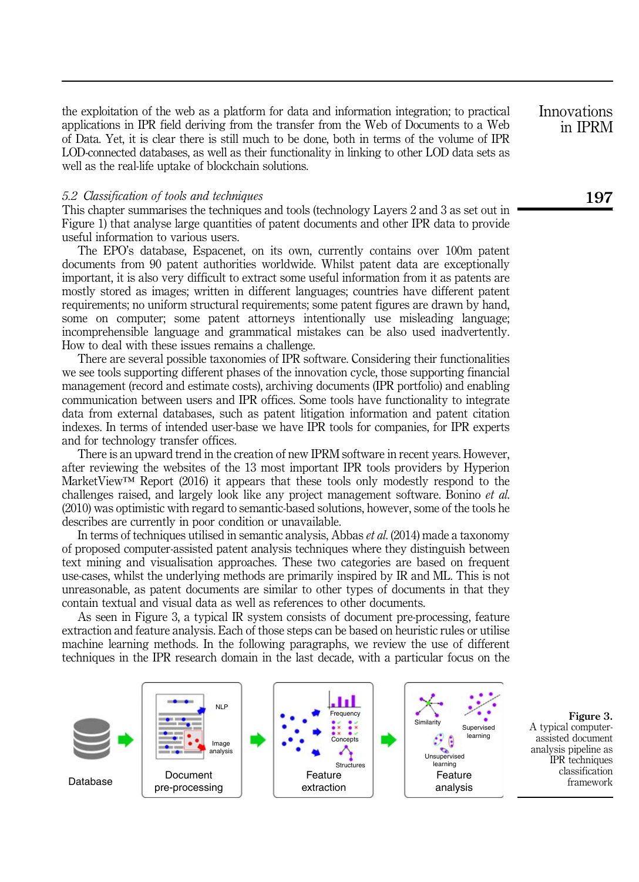the exploitation of the web as a platform for data and information integration; to practical applications in IPR field deriving from the transfer from the Web of Documents to a Web of Data. Yet, it is clear there is still much to be done, both in terms of the volume of IPR LOD-connected databases, as well as their functionality in linking to other LOD data sets as well as the real-life uptake of blockchain solutions.

#### 5.2 Classification of tools and techniques

This chapter summarises the techniques and tools (technology Layers 2 and 3 as set out in Figure 1) that analyse large quantities of patent documents and other IPR data to provide useful information to various users.

The EPO's database, Espacenet, on its own, currently contains over 100m patent documents from 90 patent authorities worldwide. Whilst patent data are exceptionally important, it is also very difficult to extract some useful information from it as patents are mostly stored as images; written in different languages; countries have different patent requirements; no uniform structural requirements; some patent figures are drawn by hand, some on computer; some patent attorneys intentionally use misleading language; incomprehensible language and grammatical mistakes can be also used inadvertently. How to deal with these issues remains a challenge.

There are several possible taxonomies of IPR software. Considering their functionalities we see tools supporting different phases of the innovation cycle, those supporting financial management (record and estimate costs), archiving documents (IPR portfolio) and enabling communication between users and IPR offices. Some tools have functionality to integrate data from external databases, such as patent litigation information and patent citation indexes. In terms of intended user-base we have IPR tools for companies, for IPR experts and for technology transfer offices.

There is an upward trend in the creation of new IPRM software in recent years. However, after reviewing the websites of the 13 most important IPR tools providers by Hyperion MarketView™ Report (2016) it appears that these tools only modestly respond to the challenges raised, and largely look like any project management software. Bonino et al. (2010) was optimistic with regard to semantic-based solutions, however, some of the tools he describes are currently in poor condition or unavailable.

In terms of techniques utilised in semantic analysis, Abbas et al. (2014) made a taxonomy of proposed computer-assisted patent analysis techniques where they distinguish between text mining and visualisation approaches. These two categories are based on frequent use-cases, whilst the underlying methods are primarily inspired by IR and ML. This is not unreasonable, as patent documents are similar to other types of documents in that they contain textual and visual data as well as references to other documents.

As seen in Figure 3, a typical IR system consists of document pre-processing, feature extraction and feature analysis. Each of those steps can be based on heuristic rules or utilise machine learning methods. In the following paragraphs, we review the use of different techniques in the IPR research domain in the last decade, with a particular focus on the



A typical computerassisted document analysis pipeline as IPR techniques classification framework

Innovations in IPRM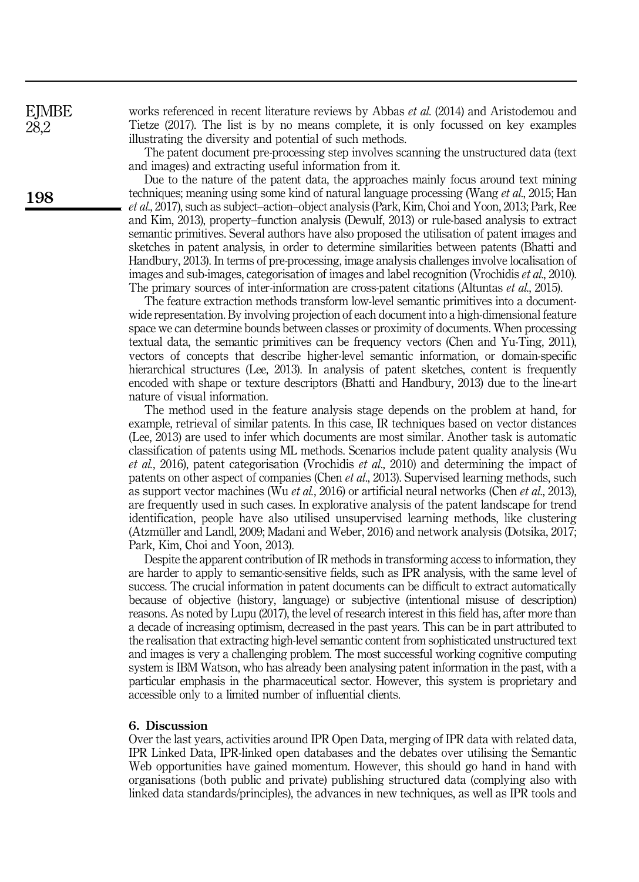**EJMBE** 28,2

198

works referenced in recent literature reviews by Abbas *et al.* (2014) and Aristodemou and Tietze (2017). The list is by no means complete, it is only focussed on key examples illustrating the diversity and potential of such methods.

The patent document pre-processing step involves scanning the unstructured data (text and images) and extracting useful information from it.

Due to the nature of the patent data, the approaches mainly focus around text mining techniques; meaning using some kind of natural language processing (Wang et al., 2015; Han et al., 2017), such as subject–action–object analysis (Park, Kim, Choi and Yoon, 2013; Park, Ree and Kim, 2013), property–function analysis (Dewulf, 2013) or rule-based analysis to extract semantic primitives. Several authors have also proposed the utilisation of patent images and sketches in patent analysis, in order to determine similarities between patents (Bhatti and Handbury, 2013). In terms of pre-processing, image analysis challenges involve localisation of images and sub-images, categorisation of images and label recognition (Vrochidis et al., 2010). The primary sources of inter-information are cross-patent citations (Altuntas *et al.*, 2015).

The feature extraction methods transform low-level semantic primitives into a documentwide representation. By involving projection of each document into a high-dimensional feature space we can determine bounds between classes or proximity of documents. When processing textual data, the semantic primitives can be frequency vectors (Chen and Yu-Ting, 2011), vectors of concepts that describe higher-level semantic information, or domain-specific hierarchical structures (Lee, 2013). In analysis of patent sketches, content is frequently encoded with shape or texture descriptors (Bhatti and Handbury, 2013) due to the line-art nature of visual information.

The method used in the feature analysis stage depends on the problem at hand, for example, retrieval of similar patents. In this case, IR techniques based on vector distances (Lee, 2013) are used to infer which documents are most similar. Another task is automatic classification of patents using ML methods. Scenarios include patent quality analysis (Wu  $et \ al., 2016$ ), patent categorisation (Vrochidis  $et \ al., 2010$ ) and determining the impact of patents on other aspect of companies (Chen et al., 2013). Supervised learning methods, such as support vector machines (Wu *et al.*, 2016) or artificial neural networks (Chen *et al.*, 2013), are frequently used in such cases. In explorative analysis of the patent landscape for trend identification, people have also utilised unsupervised learning methods, like clustering (Atzmüller and Landl, 2009; Madani and Weber, 2016) and network analysis (Dotsika, 2017; Park, Kim, Choi and Yoon, 2013).

Despite the apparent contribution of IR methods in transforming access to information, they are harder to apply to semantic-sensitive fields, such as IPR analysis, with the same level of success. The crucial information in patent documents can be difficult to extract automatically because of objective (history, language) or subjective (intentional misuse of description) reasons. As noted by Lupu (2017), the level of research interest in this field has, after more than a decade of increasing optimism, decreased in the past years. This can be in part attributed to the realisation that extracting high-level semantic content from sophisticated unstructured text and images is very a challenging problem. The most successful working cognitive computing system is IBM Watson, who has already been analysing patent information in the past, with a particular emphasis in the pharmaceutical sector. However, this system is proprietary and accessible only to a limited number of influential clients.

#### 6. Discussion

Over the last years, activities around IPR Open Data, merging of IPR data with related data, IPR Linked Data, IPR-linked open databases and the debates over utilising the Semantic Web opportunities have gained momentum. However, this should go hand in hand with organisations (both public and private) publishing structured data (complying also with linked data standards/principles), the advances in new techniques, as well as IPR tools and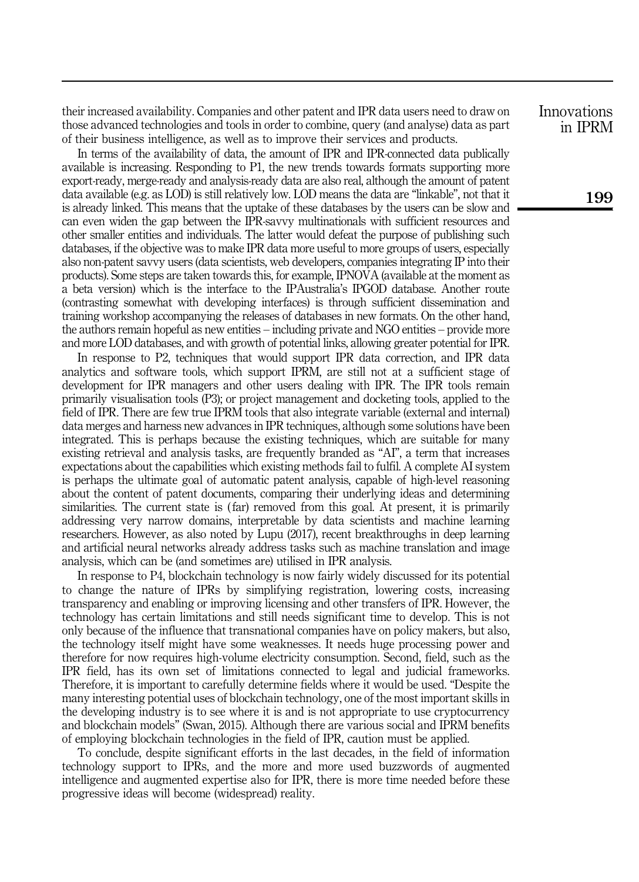their increased availability. Companies and other patent and IPR data users need to draw on those advanced technologies and tools in order to combine, query (and analyse) data as part of their business intelligence, as well as to improve their services and products.

In terms of the availability of data, the amount of IPR and IPR-connected data publically available is increasing. Responding to P1, the new trends towards formats supporting more export-ready, merge-ready and analysis-ready data are also real, although the amount of patent data available (e.g. as LOD) is still relatively low. LOD means the data are "linkable", not that it is already linked. This means that the uptake of these databases by the users can be slow and can even widen the gap between the IPR-savvy multinationals with sufficient resources and other smaller entities and individuals. The latter would defeat the purpose of publishing such databases, if the objective was to make IPR data more useful to more groups of users, especially also non-patent savvy users (data scientists, web developers, companies integrating IP into their products). Some steps are taken towards this, for example, IPNOVA (available at the moment as a beta version) which is the interface to the IPAustralia's IPGOD database. Another route (contrasting somewhat with developing interfaces) is through sufficient dissemination and training workshop accompanying the releases of databases in new formats. On the other hand, the authors remain hopeful as new entities – including private and NGO entities – provide more and more LOD databases, and with growth of potential links, allowing greater potential for IPR.

In response to P2, techniques that would support IPR data correction, and IPR data analytics and software tools, which support IPRM, are still not at a sufficient stage of development for IPR managers and other users dealing with IPR. The IPR tools remain primarily visualisation tools (P3); or project management and docketing tools, applied to the field of IPR. There are few true IPRM tools that also integrate variable (external and internal) data merges and harness new advances in IPR techniques, although some solutions have been integrated. This is perhaps because the existing techniques, which are suitable for many existing retrieval and analysis tasks, are frequently branded as "AI", a term that increases expectations about the capabilities which existing methods fail to fulfil. A complete AI system is perhaps the ultimate goal of automatic patent analysis, capable of high-level reasoning about the content of patent documents, comparing their underlying ideas and determining similarities. The current state is (far) removed from this goal. At present, it is primarily addressing very narrow domains, interpretable by data scientists and machine learning researchers. However, as also noted by Lupu (2017), recent breakthroughs in deep learning and artificial neural networks already address tasks such as machine translation and image analysis, which can be (and sometimes are) utilised in IPR analysis.

In response to P4, blockchain technology is now fairly widely discussed for its potential to change the nature of IPRs by simplifying registration, lowering costs, increasing transparency and enabling or improving licensing and other transfers of IPR. However, the technology has certain limitations and still needs significant time to develop. This is not only because of the influence that transnational companies have on policy makers, but also, the technology itself might have some weaknesses. It needs huge processing power and therefore for now requires high-volume electricity consumption. Second, field, such as the IPR field, has its own set of limitations connected to legal and judicial frameworks. Therefore, it is important to carefully determine fields where it would be used. "Despite the many interesting potential uses of blockchain technology, one of the most important skills in the developing industry is to see where it is and is not appropriate to use cryptocurrency and blockchain models" (Swan, 2015). Although there are various social and IPRM benefits of employing blockchain technologies in the field of IPR, caution must be applied.

To conclude, despite significant efforts in the last decades, in the field of information technology support to IPRs, and the more and more used buzzwords of augmented intelligence and augmented expertise also for IPR, there is more time needed before these progressive ideas will become (widespread) reality.

Innovations in IPRM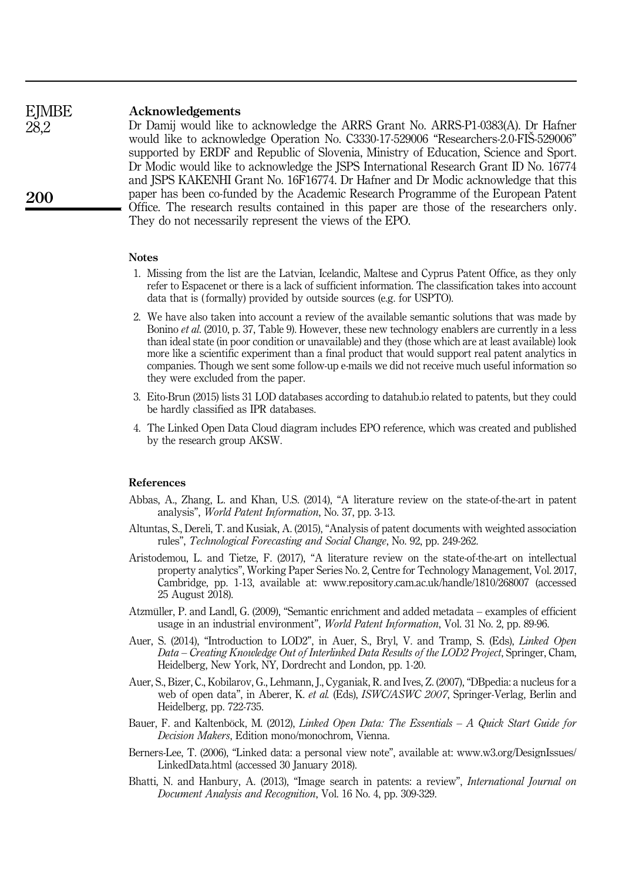#### Acknowledgements **EJMBE**

Dr Damij would like to acknowledge the ARRS Grant No. ARRS-P1-0383(A). Dr Hafner would like to acknowledge Operation No. C3330-17-529006 "Researchers-2.0-FIŠ-529006" supported by ERDF and Republic of Slovenia, Ministry of Education, Science and Sport. Dr Modic would like to acknowledge the JSPS International Research Grant ID No. 16774 and JSPS KAKENHI Grant No. 16F16774. Dr Hafner and Dr Modic acknowledge that this paper has been co-funded by the Academic Research Programme of the European Patent Office. The research results contained in this paper are those of the researchers only. They do not necessarily represent the views of the EPO.

### **Notes**

- 1. Missing from the list are the Latvian, Icelandic, Maltese and Cyprus Patent Office, as they only refer to Espacenet or there is a lack of sufficient information. The classification takes into account data that is ( formally) provided by outside sources (e.g. for USPTO).
- 2. We have also taken into account a review of the available semantic solutions that was made by Bonino et al. (2010, p. 37, Table 9). However, these new technology enablers are currently in a less than ideal state (in poor condition or unavailable) and they (those which are at least available) look more like a scientific experiment than a final product that would support real patent analytics in companies. Though we sent some follow-up e-mails we did not receive much useful information so they were excluded from the paper.
- 3. Eito-Brun (2015) lists 31 LOD databases according to datahub.io related to patents, but they could be hardly classified as IPR databases.
- 4. The Linked Open Data Cloud diagram includes EPO reference, which was created and published by the research group AKSW.

## References

- Abbas, A., Zhang, L. and Khan, U.S. (2014), "A literature review on the state-of-the-art in patent analysis", World Patent Information, No. 37, pp. 3-13.
- Altuntas, S., Dereli, T. and Kusiak, A. (2015), "Analysis of patent documents with weighted association rules", Technological Forecasting and Social Change, No. 92, pp. 249-262.
- Aristodemou, L. and Tietze, F. (2017), "A literature review on the state-of-the-art on intellectual property analytics", Working Paper Series No. 2, Centre for Technology Management, Vol. 2017, Cambridge, pp. 1-13, available at:<www.repository.cam.ac.uk/handle/1810/268007> (accessed 25 August 2018).
- Atzmüller, P. and Landl, G. (2009), "Semantic enrichment and added metadata examples of efficient usage in an industrial environment", World Patent Information, Vol. 31 No. 2, pp. 89-96.
- Auer, S. (2014), "Introduction to LOD2", in Auer, S., Bryl, V. and Tramp, S. (Eds), *Linked Open* Data – Creating Knowledge Out of Interlinked Data Results of the LOD2 Project, Springer, Cham, Heidelberg, New York, NY, Dordrecht and London, pp. 1-20.
- Auer, S., Bizer, C., Kobilarov, G., Lehmann, J., Cyganiak, R. and Ives, Z. (2007), "DBpedia: a nucleus for a web of open data", in Aberer, K. et al. (Eds), ISWC/ASWC 2007, Springer-Verlag, Berlin and Heidelberg, pp. 722-735.
- Bauer, F. and Kaltenböck, M. (2012), Linked Open Data: The Essentials A Quick Start Guide for Decision Makers, Edition mono/monochrom, Vienna.
- Berners-Lee, T. (2006), "Linked data: a personal view note", available at: [www.w3.org/DesignIssues/](www.w3.org/DesignIssues/LinkedData.html) [LinkedData.html](www.w3.org/DesignIssues/LinkedData.html) (accessed 30 January 2018).
- Bhatti, N. and Hanbury, A. (2013), "Image search in patents: a review", International Journal on Document Analysis and Recognition, Vol. 16 No. 4, pp. 309-329.

200

28,2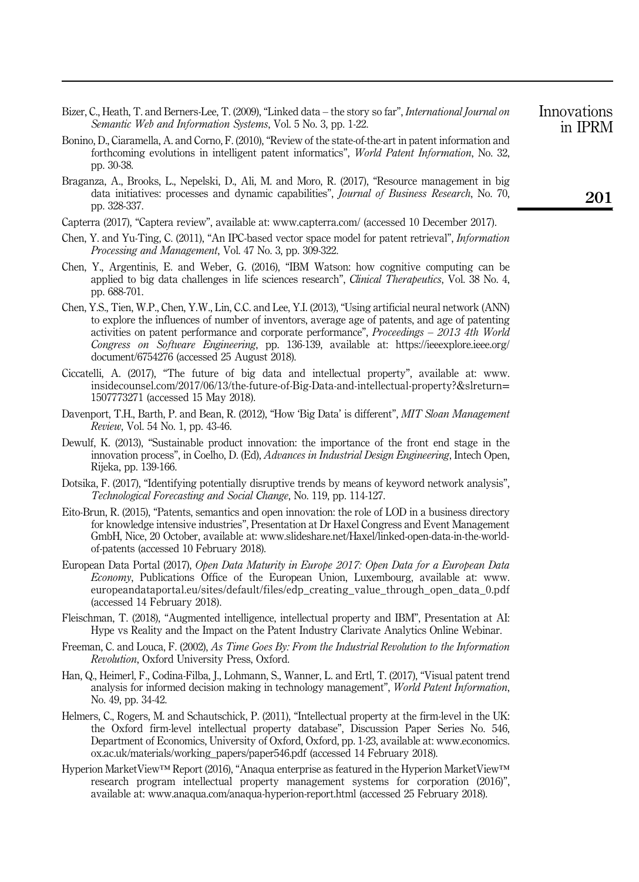- Bizer, C., Heath, T. and Berners-Lee, T. (2009), "Linked data the story so far", International Journal on Semantic Web and Information Systems, Vol. 5 No. 3, pp. 1-22.
- Bonino, D., Ciaramella, A. and Corno, F. (2010), "Review of the state-of-the-art in patent information and forthcoming evolutions in intelligent patent informatics", World Patent Information, No. 32, pp. 30-38.
- Braganza, A., Brooks, L., Nepelski, D., Ali, M. and Moro, R. (2017), "Resource management in big data initiatives: processes and dynamic capabilities", *Journal of Business Research*, No. 70, pp. 328-337.
- Capterra (2017), "Captera review", available at: <www.capterra.com/> (accessed 10 December 2017).
- Chen, Y. and Yu-Ting, C. (2011), "An IPC-based vector space model for patent retrieval", Information Processing and Management, Vol. 47 No. 3, pp. 309-322.
- Chen, Y., Argentinis, E. and Weber, G. (2016), "IBM Watson: how cognitive computing can be applied to big data challenges in life sciences research", Clinical Therapeutics, Vol. 38 No. 4, pp. 688-701.
- Chen, Y.S., Tien, W.P., Chen, Y.W., Lin, C.C. and Lee, Y.I. (2013), "Using artificial neural network (ANN) to explore the influences of number of inventors, average age of patents, and age of patenting activities on patent performance and corporate performance", Proceedings – 2013 4th World Congress on Software Engineering, pp. 136-139, available at: [https://ieeexplore.ieee.org/](https://ieeexplore.ieee.org/document/6754276) [document/6754276](https://ieeexplore.ieee.org/document/6754276) (accessed 25 August 2018).
- Ciccatelli, A. (2017), "The future of big data and intellectual property", available at: [www.](www.insidecounsel.com/2017/06/13/the-future-of-Big-Data-and-intellectual-property?&slreturn=1507773271) [insidecounsel.com/2017/06/13/the-future-of-Big-Data-and-intellectual-property?&slreturn](www.insidecounsel.com/2017/06/13/the-future-of-Big-Data-and-intellectual-property?&slreturn=1507773271)= [1507773271](www.insidecounsel.com/2017/06/13/the-future-of-Big-Data-and-intellectual-property?&slreturn=1507773271) (accessed 15 May 2018).
- Davenport, T.H., Barth, P. and Bean, R. (2012), "How 'Big Data' is different", MIT Sloan Management Review, Vol. 54 No. 1, pp. 43-46.
- Dewulf, K. (2013), "Sustainable product innovation: the importance of the front end stage in the innovation process", in Coelho, D. (Ed), Advances in Industrial Design Engineering, Intech Open, Rijeka, pp. 139-166.
- Dotsika, F. (2017), "Identifying potentially disruptive trends by means of keyword network analysis", Technological Forecasting and Social Change, No. 119, pp. 114-127.
- Eito-Brun, R. (2015), "Patents, semantics and open innovation: the role of LOD in a business directory for knowledge intensive industries", Presentation at Dr Haxel Congress and Event Management GmbH, Nice, 20 October, available at: [www.slideshare.net/Haxel/linked-open-data-in-the-world](www.slideshare.net/Haxel/linked-open-data-in-the-world-of-patents)[of-patents](www.slideshare.net/Haxel/linked-open-data-in-the-world-of-patents) (accessed 10 February 2018).
- European Data Portal (2017), Open Data Maturity in Europe 2017: Open Data for a European Data Economy, Publications Office of the European Union, Luxembourg, available at: [www.](www.europeandataportal.eu/sites/default/files/edp_creating_value_through_open_data_0.pdf) [europeandataportal.eu/sites/default/files/edp\\_creating\\_value\\_through\\_open\\_data\\_0.pdf](www.europeandataportal.eu/sites/default/files/edp_creating_value_through_open_data_0.pdf) (accessed 14 February 2018).
- Fleischman, T. (2018), "Augmented intelligence, intellectual property and IBM", Presentation at AI: Hype vs Reality and the Impact on the Patent Industry Clarivate Analytics Online Webinar.
- Freeman, C. and Louca, F. (2002), As Time Goes By: From the Industrial Revolution to the Information Revolution, Oxford University Press, Oxford.
- Han, Q., Heimerl, F., Codina-Filba, J., Lohmann, S., Wanner, L. and Ertl, T. (2017), "Visual patent trend analysis for informed decision making in technology management", World Patent Information, No. 49, pp. 34-42.
- Helmers, C., Rogers, M. and Schautschick, P. (2011), "Intellectual property at the firm-level in the UK: the Oxford firm-level intellectual property database", Discussion Paper Series No. 546, Department of Economics, University of Oxford, Oxford, pp. 1-23, available at: [www.economics.](www.economics.ox.ac.uk/materials/working_papers/paper546.pdf) [ox.ac.uk/materials/working\\_papers/paper546.pdf](www.economics.ox.ac.uk/materials/working_papers/paper546.pdf) (accessed 14 February 2018).
- Hyperion MarketView™ Report (2016), "Anaqua enterprise as featured in the Hyperion MarketView™ research program intellectual property management systems for corporation (2016)", available at:<www.anaqua.com/anaqua-hyperion-report.html> (accessed 25 February 2018).

Innovations in IPRM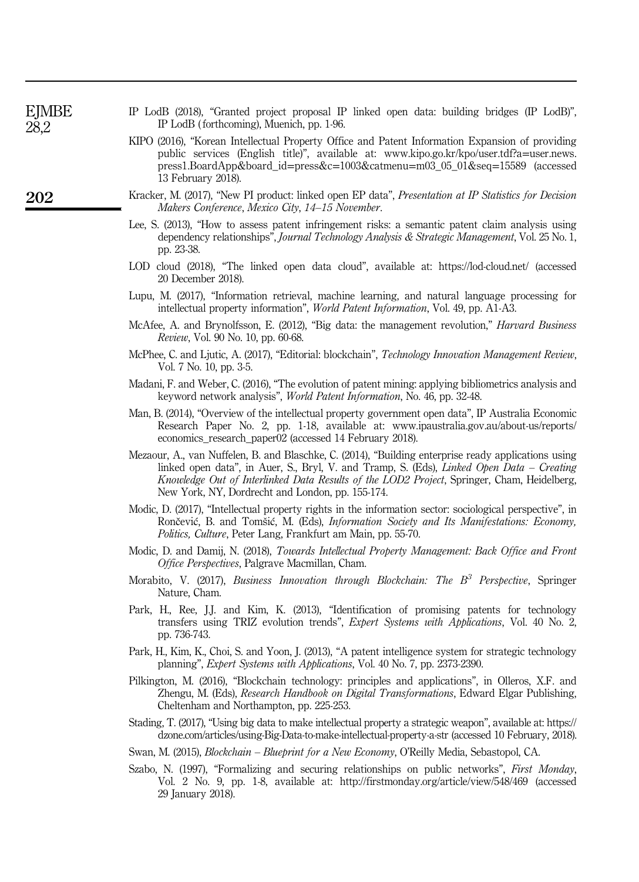| EJMBE | IP LodB (2018), "Granted project proposal IP linked open data: building bridges (IP LodB)", |
|-------|---------------------------------------------------------------------------------------------|
| 28.2  | IP LodB (forthcoming), Muenich, pp. 1-96.                                                   |

- KIPO (2016), "Korean Intellectual Property Office and Patent Information Expansion of providing public services (English title)", available at: [www.kipo.go.kr/kpo/user.tdf?a](www.kipo.go.kr/kpo/user.tdf?a=user.news.press1.BoardApp&board_id=press&c=1003&catmenu=m03_05_01&seq=15589)=user.news. [press1.BoardApp&board\\_id](www.kipo.go.kr/kpo/user.tdf?a=user.news.press1.BoardApp&board_id=press&c=1003&catmenu=m03_05_01&seq=15589)=press&c=1003&catmenu=m03\_05\_01&seq=15589 (accessed 13 February 2018).
- Kracker, M. (2017), "New PI product: linked open EP data", *Presentation at IP Statistics for Decision* Makers Conference, Mexico City, 14–15 November.
- Lee, S. (2013), "How to assess patent infringement risks: a semantic patent claim analysis using dependency relationships", *Journal Technology Analysis & Strategic Management*, Vol. 25 No. 1, pp. 23-38.
- LOD cloud (2018), "The linked open data cloud", available at:<https://lod-cloud.net/> (accessed 20 December 2018).
- Lupu, M. (2017), "Information retrieval, machine learning, and natural language processing for intellectual property information", World Patent Information, Vol. 49, pp. A1-A3.
- McAfee, A. and Brynolfsson, E. (2012), "Big data: the management revolution," *Harvard Business* Review, Vol. 90 No. 10, pp. 60-68.
- McPhee, C. and Ljutic, A. (2017), "Editorial: blockchain", *Technology Innovation Management Review*, Vol. 7 No. 10, pp. 3-5.
- Madani, F. and Weber, C. (2016), "The evolution of patent mining: applying bibliometrics analysis and keyword network analysis", World Patent Information, No. 46, pp. 32-48.
- Man, B. (2014), "Overview of the intellectual property government open data", IP Australia Economic Research Paper No. 2, pp. 1-18, available at: [www.ipaustralia.gov.au/about-us/reports/](www.ipaustralia.gov.au/about-us/reports/economics_research_paper02) [economics\\_research\\_paper02](www.ipaustralia.gov.au/about-us/reports/economics_research_paper02) (accessed 14 February 2018).
- Mezaour, A., van Nuffelen, B. and Blaschke, C. (2014), "Building enterprise ready applications using linked open data", in Auer, S., Bryl, V. and Tramp, S. (Eds), Linked Open Data – Creating Knowledge Out of Interlinked Data Results of the LOD2 Project, Springer, Cham, Heidelberg, New York, NY, Dordrecht and London, pp. 155-174.
- Modic, D. (2017), "Intellectual property rights in the information sector: sociological perspective", in Rončević, B. and Tomšić, M. (Eds), Information Society and Its Manifestations: Economy, Politics, Culture, Peter Lang, Frankfurt am Main, pp. 55-70.
- Modic, D. and Damij, N. (2018), Towards Intellectual Property Management: Back Office and Front Office Perspectives, Palgrave Macmillan, Cham.
- Morabito, V. (2017), Business Innovation through Blockchain: The  $B^3$  Perspective, Springer Nature, Cham.
- Park, H., Ree, J.J. and Kim, K. (2013), "Identification of promising patents for technology transfers using TRIZ evolution trends", Expert Systems with Applications, Vol. 40 No. 2, pp. 736-743.
- Park, H., Kim, K., Choi, S. and Yoon, J. (2013), "A patent intelligence system for strategic technology planning", Expert Systems with Applications, Vol. 40 No. 7, pp. 2373-2390.
- Pilkington, M. (2016), "Blockchain technology: principles and applications", in Olleros, X.F. and Zhengu, M. (Eds), *Research Handbook on Digital Transformations*, Edward Elgar Publishing, Cheltenham and Northampton, pp. 225-253.
- Stading, T. (2017), "Using big data to make intellectual property a strategic weapon", available at: [https://](https://dzone.com/articles/using-Big-Data-to-make-intellectual-property-a-str) [dzone.com/articles/using-Big-Data-to-make-intellectual-property-a-str](https://dzone.com/articles/using-Big-Data-to-make-intellectual-property-a-str) (accessed 10 February, 2018).
- Swan, M. (2015), Blockchain Blueprint for a New Economy, O'Reilly Media, Sebastopol, CA.
- Szabo, N. (1997), "Formalizing and securing relationships on public networks", First Monday, Vol. 2 No. 9, pp. 1-8, available at:<http://firstmonday.org/article/view/548/469> (accessed 29 January 2018).